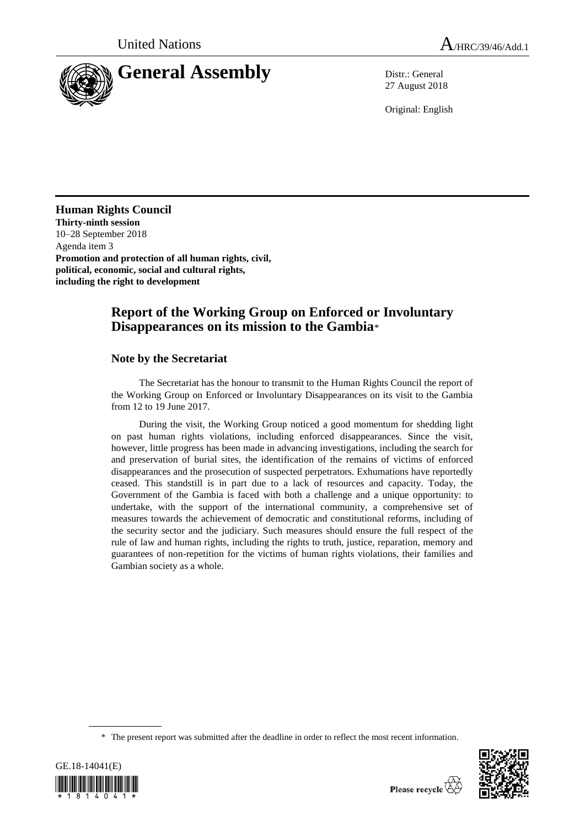

27 August 2018

Original: English

**Human Rights Council Thirty-ninth session** 10–28 September 2018

Agenda item 3 **Promotion and protection of all human rights, civil, political, economic, social and cultural rights, including the right to development**

# **Report of the Working Group on Enforced or Involuntary Disappearances on its mission to the Gambia**\*

## **Note by the Secretariat**

The Secretariat has the honour to transmit to the Human Rights Council the report of the Working Group on Enforced or Involuntary Disappearances on its visit to the Gambia from 12 to 19 June 2017.

During the visit, the Working Group noticed a good momentum for shedding light on past human rights violations, including enforced disappearances. Since the visit, however, little progress has been made in advancing investigations, including the search for and preservation of burial sites, the identification of the remains of victims of enforced disappearances and the prosecution of suspected perpetrators. Exhumations have reportedly ceased. This standstill is in part due to a lack of resources and capacity. Today, the Government of the Gambia is faced with both a challenge and a unique opportunity: to undertake, with the support of the international community, a comprehensive set of measures towards the achievement of democratic and constitutional reforms, including of the security sector and the judiciary. Such measures should ensure the full respect of the rule of law and human rights, including the rights to truth, justice, reparation, memory and guarantees of non-repetition for the victims of human rights violations, their families and Gambian society as a whole.

<sup>\*</sup> The present report was submitted after the deadline in order to reflect the most recent information.



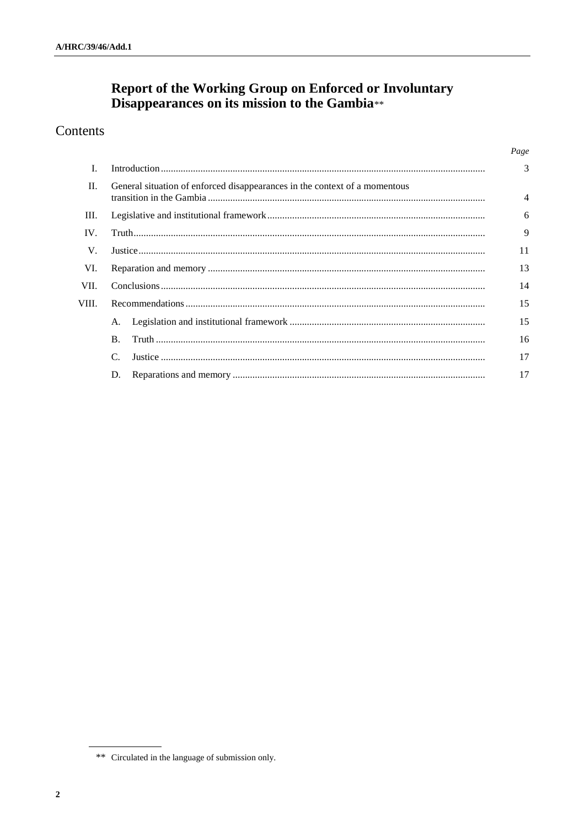# Report of the Working Group on Enforced or Involuntary<br>Disappearances on its mission to the Gambia\*\*

# Contents

|       |                                                                            | Page |
|-------|----------------------------------------------------------------------------|------|
|       |                                                                            | 3    |
| П.    | General situation of enforced disappearances in the context of a momentous | 4    |
| III.  |                                                                            | 6    |
| IV.   |                                                                            | 9    |
| V.    |                                                                            | 11   |
| VI.   |                                                                            | 13   |
| VII.  |                                                                            | 14   |
| VIII. |                                                                            | 15   |
|       | А.                                                                         | 15   |
|       | $\mathbf{B}$ .                                                             | 16   |
|       | $\mathcal{C}$                                                              | 17   |
|       | D.                                                                         | 17   |

<sup>\*\*</sup> Circulated in the language of submission only.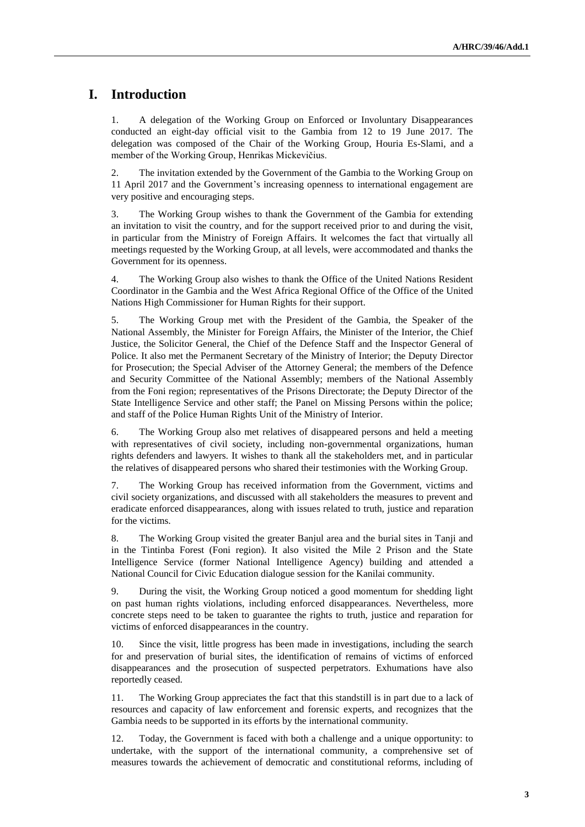# **I. Introduction**

1. A delegation of the Working Group on Enforced or Involuntary Disappearances conducted an eight-day official visit to the Gambia from 12 to 19 June 2017. The delegation was composed of the Chair of the Working Group, Houria Es-Slami, and a member of the Working Group, Henrikas Mickevičius.

2. The invitation extended by the Government of the Gambia to the Working Group on 11 April 2017 and the Government's increasing openness to international engagement are very positive and encouraging steps.

3. The Working Group wishes to thank the Government of the Gambia for extending an invitation to visit the country, and for the support received prior to and during the visit, in particular from the Ministry of Foreign Affairs. It welcomes the fact that virtually all meetings requested by the Working Group, at all levels, were accommodated and thanks the Government for its openness.

4. The Working Group also wishes to thank the Office of the United Nations Resident Coordinator in the Gambia and the West Africa Regional Office of the Office of the United Nations High Commissioner for Human Rights for their support.

5. The Working Group met with the President of the Gambia, the Speaker of the National Assembly, the Minister for Foreign Affairs, the Minister of the Interior, the Chief Justice, the Solicitor General, the Chief of the Defence Staff and the Inspector General of Police. It also met the Permanent Secretary of the Ministry of Interior; the Deputy Director for Prosecution; the Special Adviser of the Attorney General; the members of the Defence and Security Committee of the National Assembly; members of the National Assembly from the Foni region; representatives of the Prisons Directorate; the Deputy Director of the State Intelligence Service and other staff; the Panel on Missing Persons within the police; and staff of the Police Human Rights Unit of the Ministry of Interior.

6. The Working Group also met relatives of disappeared persons and held a meeting with representatives of civil society, including non-governmental organizations, human rights defenders and lawyers. It wishes to thank all the stakeholders met, and in particular the relatives of disappeared persons who shared their testimonies with the Working Group.

7. The Working Group has received information from the Government, victims and civil society organizations, and discussed with all stakeholders the measures to prevent and eradicate enforced disappearances, along with issues related to truth, justice and reparation for the victims.

8. The Working Group visited the greater Banjul area and the burial sites in Tanji and in the Tintinba Forest (Foni region). It also visited the Mile 2 Prison and the State Intelligence Service (former National Intelligence Agency) building and attended a National Council for Civic Education dialogue session for the Kanilai community.

9. During the visit, the Working Group noticed a good momentum for shedding light on past human rights violations, including enforced disappearances. Nevertheless, more concrete steps need to be taken to guarantee the rights to truth, justice and reparation for victims of enforced disappearances in the country.

10. Since the visit, little progress has been made in investigations, including the search for and preservation of burial sites, the identification of remains of victims of enforced disappearances and the prosecution of suspected perpetrators. Exhumations have also reportedly ceased.

11. The Working Group appreciates the fact that this standstill is in part due to a lack of resources and capacity of law enforcement and forensic experts, and recognizes that the Gambia needs to be supported in its efforts by the international community.

12. Today, the Government is faced with both a challenge and a unique opportunity: to undertake, with the support of the international community, a comprehensive set of measures towards the achievement of democratic and constitutional reforms, including of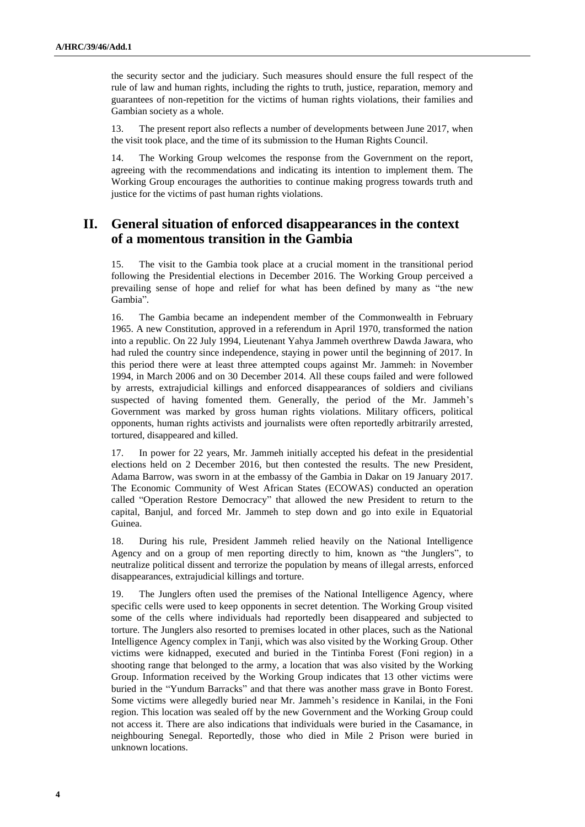the security sector and the judiciary. Such measures should ensure the full respect of the rule of law and human rights, including the rights to truth, justice, reparation, memory and guarantees of non-repetition for the victims of human rights violations, their families and Gambian society as a whole.

13. The present report also reflects a number of developments between June 2017, when the visit took place, and the time of its submission to the Human Rights Council.

14. The Working Group welcomes the response from the Government on the report, agreeing with the recommendations and indicating its intention to implement them. The Working Group encourages the authorities to continue making progress towards truth and justice for the victims of past human rights violations.

## **II. General situation of enforced disappearances in the context of a momentous transition in the Gambia**

15. The visit to the Gambia took place at a crucial moment in the transitional period following the Presidential elections in December 2016. The Working Group perceived a prevailing sense of hope and relief for what has been defined by many as "the new Gambia".

16. The Gambia became an independent member of the Commonwealth in February 1965. A new Constitution, approved in a referendum in April 1970, transformed the nation into a republic. On 22 July 1994, Lieutenant Yahya Jammeh overthrew Dawda Jawara, who had ruled the country since independence, staying in power until the beginning of 2017. In this period there were at least three attempted coups against Mr. Jammeh: in November 1994, in March 2006 and on 30 December 2014. All these coups failed and were followed by arrests, extrajudicial killings and enforced disappearances of soldiers and civilians suspected of having fomented them. Generally, the period of the Mr. Jammeh's Government was marked by gross human rights violations. Military officers, political opponents, human rights activists and journalists were often reportedly arbitrarily arrested, tortured, disappeared and killed.

17. In power for 22 years, Mr. Jammeh initially accepted his defeat in the presidential elections held on 2 December 2016, but then contested the results. The new President, Adama Barrow, was sworn in at the embassy of the Gambia in Dakar on 19 January 2017. The Economic Community of West African States (ECOWAS) conducted an operation called "Operation Restore Democracy" that allowed the new President to return to the capital, Banjul, and forced Mr. Jammeh to step down and go into exile in Equatorial Guinea.

18. During his rule, President Jammeh relied heavily on the National Intelligence Agency and on a group of men reporting directly to him, known as "the Junglers", to neutralize political dissent and terrorize the population by means of illegal arrests, enforced disappearances, extrajudicial killings and torture.

19. The Junglers often used the premises of the National Intelligence Agency, where specific cells were used to keep opponents in secret detention. The Working Group visited some of the cells where individuals had reportedly been disappeared and subjected to torture. The Junglers also resorted to premises located in other places, such as the National Intelligence Agency complex in Tanji, which was also visited by the Working Group. Other victims were kidnapped, executed and buried in the Tintinba Forest (Foni region) in a shooting range that belonged to the army, a location that was also visited by the Working Group. Information received by the Working Group indicates that 13 other victims were buried in the "Yundum Barracks" and that there was another mass grave in Bonto Forest. Some victims were allegedly buried near Mr. Jammeh's residence in Kanilai, in the Foni region. This location was sealed off by the new Government and the Working Group could not access it. There are also indications that individuals were buried in the Casamance, in neighbouring Senegal. Reportedly, those who died in Mile 2 Prison were buried in unknown locations.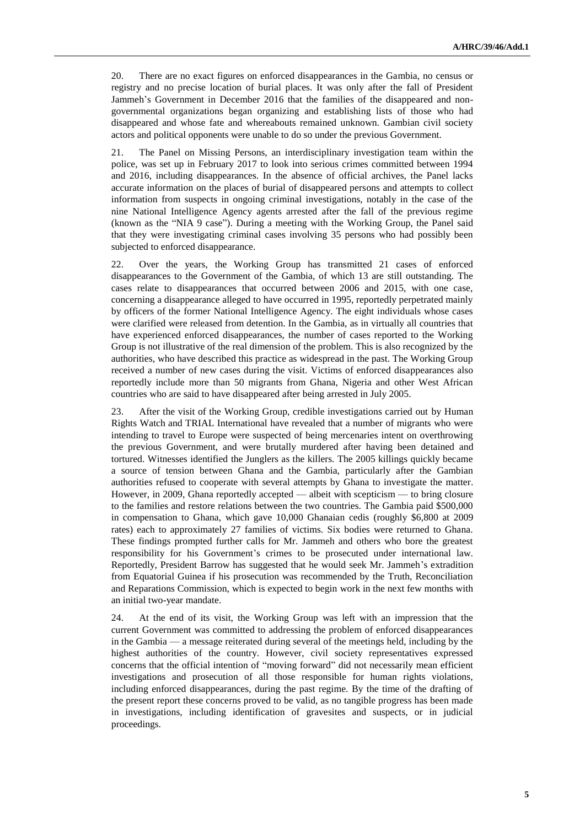20. There are no exact figures on enforced disappearances in the Gambia, no census or registry and no precise location of burial places. It was only after the fall of President Jammeh's Government in December 2016 that the families of the disappeared and nongovernmental organizations began organizing and establishing lists of those who had disappeared and whose fate and whereabouts remained unknown. Gambian civil society actors and political opponents were unable to do so under the previous Government.

21. The Panel on Missing Persons, an interdisciplinary investigation team within the police, was set up in February 2017 to look into serious crimes committed between 1994 and 2016, including disappearances. In the absence of official archives, the Panel lacks accurate information on the places of burial of disappeared persons and attempts to collect information from suspects in ongoing criminal investigations, notably in the case of the nine National Intelligence Agency agents arrested after the fall of the previous regime (known as the "NIA 9 case"). During a meeting with the Working Group, the Panel said that they were investigating criminal cases involving 35 persons who had possibly been subjected to enforced disappearance.

22. Over the years, the Working Group has transmitted 21 cases of enforced disappearances to the Government of the Gambia, of which 13 are still outstanding. The cases relate to disappearances that occurred between 2006 and 2015, with one case, concerning a disappearance alleged to have occurred in 1995, reportedly perpetrated mainly by officers of the former National Intelligence Agency. The eight individuals whose cases were clarified were released from detention. In the Gambia, as in virtually all countries that have experienced enforced disappearances, the number of cases reported to the Working Group is not illustrative of the real dimension of the problem. This is also recognized by the authorities, who have described this practice as widespread in the past. The Working Group received a number of new cases during the visit. Victims of enforced disappearances also reportedly include more than 50 migrants from Ghana, Nigeria and other West African countries who are said to have disappeared after being arrested in July 2005.

23. After the visit of the Working Group, credible investigations carried out by Human Rights Watch and TRIAL International have revealed that a number of migrants who were intending to travel to Europe were suspected of being mercenaries intent on overthrowing the previous Government, and were brutally murdered after having been detained and tortured. Witnesses identified the Junglers as the killers. The 2005 killings quickly became a source of tension between Ghana and the Gambia, particularly after the Gambian authorities refused to cooperate with several attempts by Ghana to investigate the matter. However, in 2009, Ghana reportedly accepted — albeit with scepticism — to bring closure to the families and restore relations between the two countries. The Gambia paid \$500,000 in compensation to Ghana, which gave 10,000 Ghanaian cedis (roughly \$6,800 at 2009 rates) each to approximately 27 families of victims. Six bodies were returned to Ghana. These findings prompted further calls for Mr. Jammeh and others who bore the greatest responsibility for his Government's crimes to be prosecuted under international law. Reportedly, President Barrow has suggested that he would seek Mr. Jammeh's extradition from Equatorial Guinea if his prosecution was recommended by the Truth, Reconciliation and Reparations Commission, which is expected to begin work in the next few months with an initial two-year mandate.

24. At the end of its visit, the Working Group was left with an impression that the current Government was committed to addressing the problem of enforced disappearances in the Gambia — a message reiterated during several of the meetings held, including by the highest authorities of the country. However, civil society representatives expressed concerns that the official intention of "moving forward" did not necessarily mean efficient investigations and prosecution of all those responsible for human rights violations, including enforced disappearances, during the past regime. By the time of the drafting of the present report these concerns proved to be valid, as no tangible progress has been made in investigations, including identification of gravesites and suspects, or in judicial proceedings.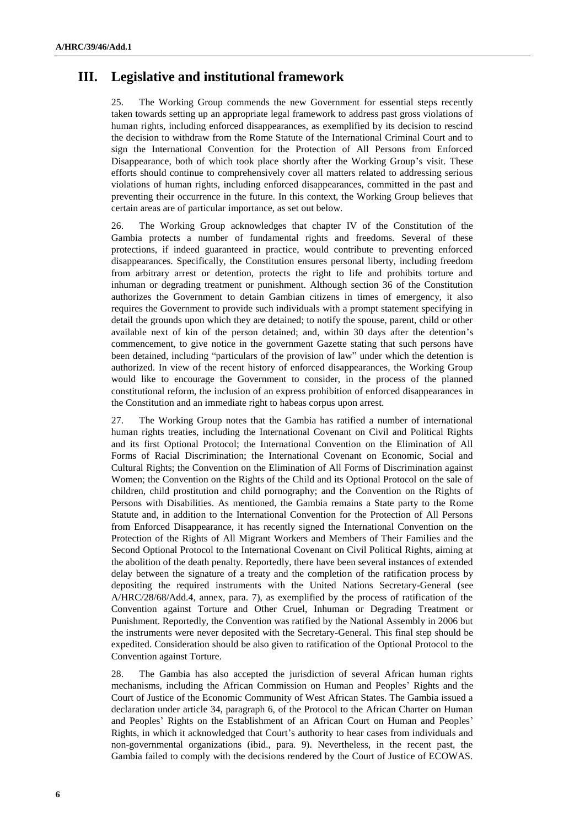## **III. Legislative and institutional framework**

25. The Working Group commends the new Government for essential steps recently taken towards setting up an appropriate legal framework to address past gross violations of human rights, including enforced disappearances, as exemplified by its decision to rescind the decision to withdraw from the Rome Statute of the International Criminal Court and to sign the International Convention for the Protection of All Persons from Enforced Disappearance, both of which took place shortly after the Working Group's visit. These efforts should continue to comprehensively cover all matters related to addressing serious violations of human rights, including enforced disappearances, committed in the past and preventing their occurrence in the future. In this context, the Working Group believes that certain areas are of particular importance, as set out below.

26. The Working Group acknowledges that chapter IV of the Constitution of the Gambia protects a number of fundamental rights and freedoms. Several of these protections, if indeed guaranteed in practice, would contribute to preventing enforced disappearances. Specifically, the Constitution ensures personal liberty, including freedom from arbitrary arrest or detention, protects the right to life and prohibits torture and inhuman or degrading treatment or punishment. Although section 36 of the Constitution authorizes the Government to detain Gambian citizens in times of emergency, it also requires the Government to provide such individuals with a prompt statement specifying in detail the grounds upon which they are detained; to notify the spouse, parent, child or other available next of kin of the person detained; and, within 30 days after the detention's commencement, to give notice in the government Gazette stating that such persons have been detained, including "particulars of the provision of law" under which the detention is authorized. In view of the recent history of enforced disappearances, the Working Group would like to encourage the Government to consider, in the process of the planned constitutional reform, the inclusion of an express prohibition of enforced disappearances in the Constitution and an immediate right to habeas corpus upon arrest.

27. The Working Group notes that the Gambia has ratified a number of international human rights treaties, including the International Covenant on Civil and Political Rights and its first Optional Protocol; the International Convention on the Elimination of All Forms of Racial Discrimination; the International Covenant on Economic, Social and Cultural Rights; the Convention on the Elimination of All Forms of Discrimination against Women; the Convention on the Rights of the Child and its Optional Protocol on the sale of children, child prostitution and child pornography; and the Convention on the Rights of Persons with Disabilities. As mentioned, the Gambia remains a State party to the Rome Statute and, in addition to the International Convention for the Protection of All Persons from Enforced Disappearance, it has recently signed the International Convention on the Protection of the Rights of All Migrant Workers and Members of Their Families and the Second Optional Protocol to the International Covenant on Civil Political Rights, aiming at the abolition of the death penalty. Reportedly, there have been several instances of extended delay between the signature of a treaty and the completion of the ratification process by depositing the required instruments with the United Nations Secretary-General (see A/HRC/28/68/Add.4, annex, para. 7), as exemplified by the process of ratification of the Convention against Torture and Other Cruel, Inhuman or Degrading Treatment or Punishment. Reportedly, the Convention was ratified by the National Assembly in 2006 but the instruments were never deposited with the Secretary-General. This final step should be expedited. Consideration should be also given to ratification of the Optional Protocol to the Convention against Torture.

28. The Gambia has also accepted the jurisdiction of several African human rights mechanisms, including the African Commission on Human and Peoples' Rights and the Court of Justice of the Economic Community of West African States. The Gambia issued a declaration under article 34, paragraph 6, of the Protocol to the African Charter on Human and Peoples' Rights on the Establishment of an African Court on Human and Peoples' Rights, in which it acknowledged that Court's authority to hear cases from individuals and non-governmental organizations (ibid., para. 9). Nevertheless, in the recent past, the Gambia failed to comply with the decisions rendered by the Court of Justice of ECOWAS.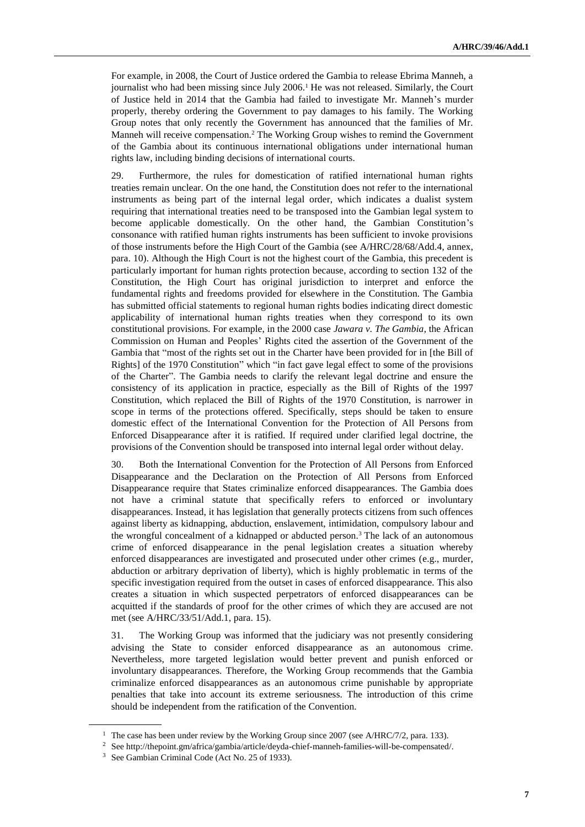For example, in 2008, the Court of Justice ordered the Gambia to release Ebrima Manneh, a journalist who had been missing since July 2006.<sup>1</sup> He was not released. Similarly, the Court of Justice held in 2014 that the Gambia had failed to investigate Mr. Manneh's murder properly, thereby ordering the Government to pay damages to his family. The Working Group notes that only recently the Government has announced that the families of Mr. Manneh will receive compensation.<sup>2</sup> The Working Group wishes to remind the Government of the Gambia about its continuous international obligations under international human rights law, including binding decisions of international courts.

29. Furthermore, the rules for domestication of ratified international human rights treaties remain unclear. On the one hand, the Constitution does not refer to the international instruments as being part of the internal legal order, which indicates a dualist system requiring that international treaties need to be transposed into the Gambian legal system to become applicable domestically. On the other hand, the Gambian Constitution's consonance with ratified human rights instruments has been sufficient to invoke provisions of those instruments before the High Court of the Gambia (see A/HRC/28/68/Add.4, annex, para. 10). Although the High Court is not the highest court of the Gambia, this precedent is particularly important for human rights protection because, according to section 132 of the Constitution, the High Court has original jurisdiction to interpret and enforce the fundamental rights and freedoms provided for elsewhere in the Constitution. The Gambia has submitted official statements to regional human rights bodies indicating direct domestic applicability of international human rights treaties when they correspond to its own constitutional provisions. For example, in the 2000 case *Jawara v. The Gambia*, the African Commission on Human and Peoples' Rights cited the assertion of the Government of the Gambia that "most of the rights set out in the Charter have been provided for in [the Bill of Rights] of the 1970 Constitution" which "in fact gave legal effect to some of the provisions of the Charter". The Gambia needs to clarify the relevant legal doctrine and ensure the consistency of its application in practice, especially as the Bill of Rights of the 1997 Constitution, which replaced the Bill of Rights of the 1970 Constitution, is narrower in scope in terms of the protections offered. Specifically, steps should be taken to ensure domestic effect of the International Convention for the Protection of All Persons from Enforced Disappearance after it is ratified. If required under clarified legal doctrine, the provisions of the Convention should be transposed into internal legal order without delay.

30. Both the International Convention for the Protection of All Persons from Enforced Disappearance and the Declaration on the Protection of All Persons from Enforced Disappearance require that States criminalize enforced disappearances. The Gambia does not have a criminal statute that specifically refers to enforced or involuntary disappearances. Instead, it has legislation that generally protects citizens from such offences against liberty as kidnapping, abduction, enslavement, intimidation, compulsory labour and the wrongful concealment of a kidnapped or abducted person.<sup>3</sup> The lack of an autonomous crime of enforced disappearance in the penal legislation creates a situation whereby enforced disappearances are investigated and prosecuted under other crimes (e.g., murder, abduction or arbitrary deprivation of liberty), which is highly problematic in terms of the specific investigation required from the outset in cases of enforced disappearance. This also creates a situation in which suspected perpetrators of enforced disappearances can be acquitted if the standards of proof for the other crimes of which they are accused are not met (see A/HRC/33/51/Add.1, para. 15).

31. The Working Group was informed that the judiciary was not presently considering advising the State to consider enforced disappearance as an autonomous crime. Nevertheless, more targeted legislation would better prevent and punish enforced or involuntary disappearances. Therefore, the Working Group recommends that the Gambia criminalize enforced disappearances as an autonomous crime punishable by appropriate penalties that take into account its extreme seriousness. The introduction of this crime should be independent from the ratification of the Convention.

<sup>&</sup>lt;sup>1</sup> The case has been under review by the Working Group since 2007 (see A/HRC/7/2, para. 133).

 $^2\,$  See http://thepoint.gm/africa/gambia/article/deyda-chief-manneh-families-will-be-compensated/.

<sup>3</sup> See Gambian Criminal Code (Act No. 25 of 1933).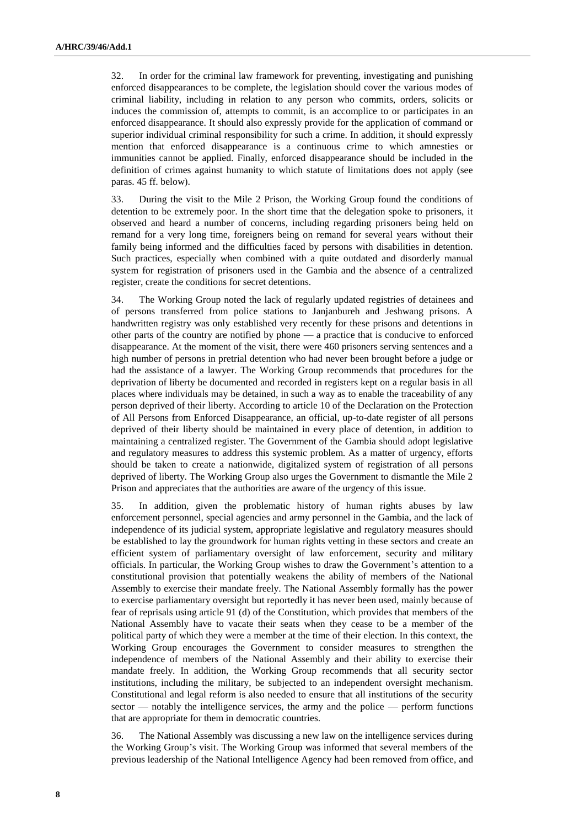32. In order for the criminal law framework for preventing, investigating and punishing enforced disappearances to be complete, the legislation should cover the various modes of criminal liability, including in relation to any person who commits, orders, solicits or induces the commission of, attempts to commit, is an accomplice to or participates in an enforced disappearance. It should also expressly provide for the application of command or superior individual criminal responsibility for such a crime. In addition, it should expressly mention that enforced disappearance is a continuous crime to which amnesties or immunities cannot be applied. Finally, enforced disappearance should be included in the definition of crimes against humanity to which statute of limitations does not apply (see paras. 45 ff. below).

33. During the visit to the Mile 2 Prison, the Working Group found the conditions of detention to be extremely poor. In the short time that the delegation spoke to prisoners, it observed and heard a number of concerns, including regarding prisoners being held on remand for a very long time, foreigners being on remand for several years without their family being informed and the difficulties faced by persons with disabilities in detention. Such practices, especially when combined with a quite outdated and disorderly manual system for registration of prisoners used in the Gambia and the absence of a centralized register, create the conditions for secret detentions.

34. The Working Group noted the lack of regularly updated registries of detainees and of persons transferred from police stations to Janjanbureh and Jeshwang prisons. A handwritten registry was only established very recently for these prisons and detentions in other parts of the country are notified by phone — a practice that is conducive to enforced disappearance. At the moment of the visit, there were 460 prisoners serving sentences and a high number of persons in pretrial detention who had never been brought before a judge or had the assistance of a lawyer. The Working Group recommends that procedures for the deprivation of liberty be documented and recorded in registers kept on a regular basis in all places where individuals may be detained, in such a way as to enable the traceability of any person deprived of their liberty. According to article 10 of the Declaration on the Protection of All Persons from Enforced Disappearance, an official, up-to-date register of all persons deprived of their liberty should be maintained in every place of detention, in addition to maintaining a centralized register. The Government of the Gambia should adopt legislative and regulatory measures to address this systemic problem. As a matter of urgency, efforts should be taken to create a nationwide, digitalized system of registration of all persons deprived of liberty. The Working Group also urges the Government to dismantle the Mile 2 Prison and appreciates that the authorities are aware of the urgency of this issue.

35. In addition, given the problematic history of human rights abuses by law enforcement personnel, special agencies and army personnel in the Gambia, and the lack of independence of its judicial system, appropriate legislative and regulatory measures should be established to lay the groundwork for human rights vetting in these sectors and create an efficient system of parliamentary oversight of law enforcement, security and military officials. In particular, the Working Group wishes to draw the Government's attention to a constitutional provision that potentially weakens the ability of members of the National Assembly to exercise their mandate freely. The National Assembly formally has the power to exercise parliamentary oversight but reportedly it has never been used, mainly because of fear of reprisals using article 91 (d) of the Constitution, which provides that members of the National Assembly have to vacate their seats when they cease to be a member of the political party of which they were a member at the time of their election. In this context, the Working Group encourages the Government to consider measures to strengthen the independence of members of the National Assembly and their ability to exercise their mandate freely. In addition, the Working Group recommends that all security sector institutions, including the military, be subjected to an independent oversight mechanism. Constitutional and legal reform is also needed to ensure that all institutions of the security sector — notably the intelligence services, the army and the police — perform functions that are appropriate for them in democratic countries.

36. The National Assembly was discussing a new law on the intelligence services during the Working Group's visit. The Working Group was informed that several members of the previous leadership of the National Intelligence Agency had been removed from office, and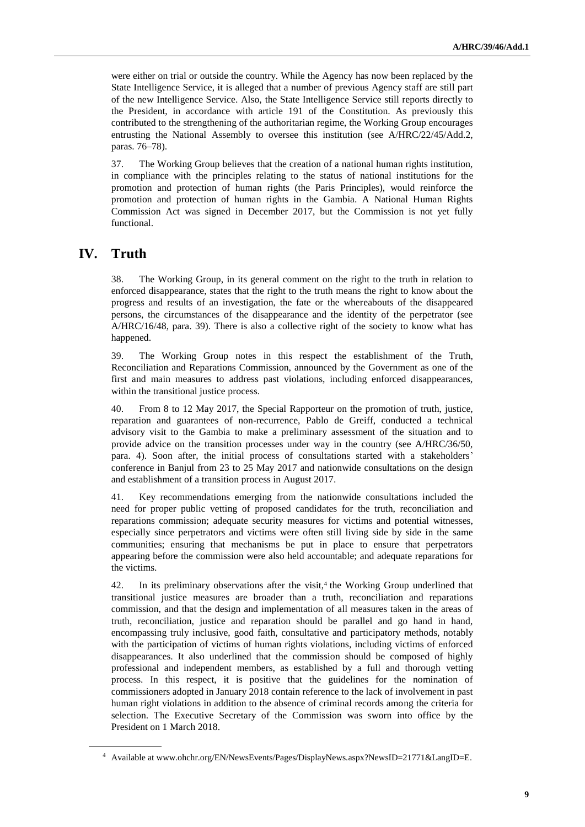were either on trial or outside the country. While the Agency has now been replaced by the State Intelligence Service, it is alleged that a number of previous Agency staff are still part of the new Intelligence Service. Also, the State Intelligence Service still reports directly to the President, in accordance with article 191 of the Constitution. As previously this contributed to the strengthening of the authoritarian regime, the Working Group encourages entrusting the National Assembly to oversee this institution (see A/HRC/22/45/Add.2, paras. 76–78).

37. The Working Group believes that the creation of a national human rights institution, in compliance with the principles relating to the status of national institutions for the promotion and protection of human rights (the Paris Principles), would reinforce the promotion and protection of human rights in the Gambia. A National Human Rights Commission Act was signed in December 2017, but the Commission is not yet fully functional.

### **IV. Truth**

38. The Working Group, in its general comment on the right to the truth in relation to enforced disappearance, states that the right to the truth means the right to know about the progress and results of an investigation, the fate or the whereabouts of the disappeared persons, the circumstances of the disappearance and the identity of the perpetrator (see A/HRC/16/48, para. 39). There is also a collective right of the society to know what has happened.

39. The Working Group notes in this respect the establishment of the Truth, Reconciliation and Reparations Commission, announced by the Government as one of the first and main measures to address past violations, including enforced disappearances, within the transitional justice process.

40. From 8 to 12 May 2017, the Special Rapporteur on the promotion of truth, justice, reparation and guarantees of non-recurrence, Pablo de Greiff, conducted a technical advisory visit to the Gambia to make a preliminary assessment of the situation and to provide advice on the transition processes under way in the country (see A/HRC/36/50, para. 4). Soon after, the initial process of consultations started with a stakeholders' conference in Banjul from 23 to 25 May 2017 and nationwide consultations on the design and establishment of a transition process in August 2017.

41. Key recommendations emerging from the nationwide consultations included the need for proper public vetting of proposed candidates for the truth, reconciliation and reparations commission; adequate security measures for victims and potential witnesses, especially since perpetrators and victims were often still living side by side in the same communities; ensuring that mechanisms be put in place to ensure that perpetrators appearing before the commission were also held accountable; and adequate reparations for the victims.

42. In its preliminary observations after the visit,<sup>4</sup> the Working Group underlined that transitional justice measures are broader than a truth, reconciliation and reparations commission, and that the design and implementation of all measures taken in the areas of truth, reconciliation, justice and reparation should be parallel and go hand in hand, encompassing truly inclusive, good faith, consultative and participatory methods, notably with the participation of victims of human rights violations, including victims of enforced disappearances. It also underlined that the commission should be composed of highly professional and independent members, as established by a full and thorough vetting process. In this respect, it is positive that the guidelines for the nomination of commissioners adopted in January 2018 contain reference to the lack of involvement in past human right violations in addition to the absence of criminal records among the criteria for selection. The Executive Secretary of the Commission was sworn into office by the President on 1 March 2018.

<sup>4</sup> Available at [www.ohchr.org/EN/NewsEvents/Pages/DisplayNews.aspx?NewsID=21771&LangID=E.](file://///conf-share1/conf/Groups/Editing%20Section/HR%20editors/Edgar/www.ohchr.org/EN/NewsEvents/Pages/DisplayNews.aspx%3fNewsID=21771&LangID=E)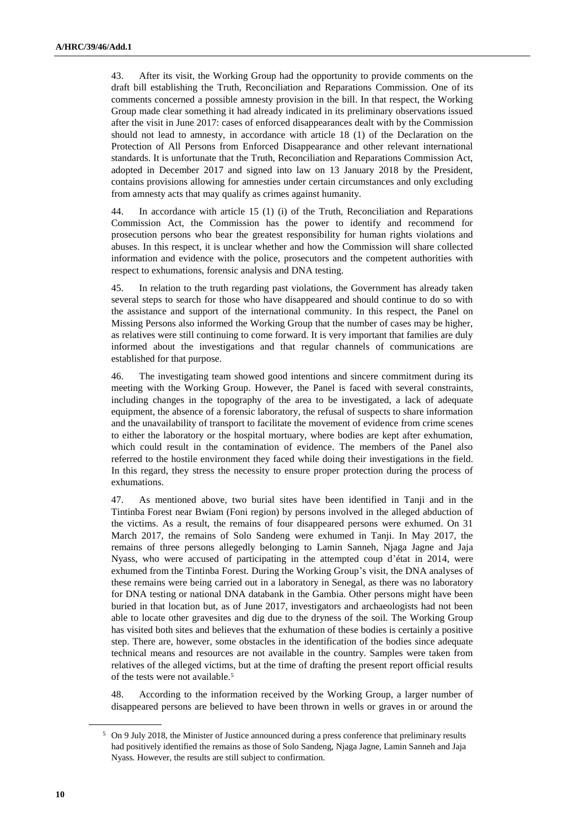43. After its visit, the Working Group had the opportunity to provide comments on the draft bill establishing the Truth, Reconciliation and Reparations Commission. One of its comments concerned a possible amnesty provision in the bill. In that respect, the Working Group made clear something it had already indicated in its preliminary observations issued after the visit in June 2017: cases of enforced disappearances dealt with by the Commission should not lead to amnesty, in accordance with article 18 (1) of the Declaration on the Protection of All Persons from Enforced Disappearance and other relevant international standards. It is unfortunate that the Truth, Reconciliation and Reparations Commission Act, adopted in December 2017 and signed into law on 13 January 2018 by the President, contains provisions allowing for amnesties under certain circumstances and only excluding from amnesty acts that may qualify as crimes against humanity.

44. In accordance with article 15 (1) (i) of the Truth, Reconciliation and Reparations Commission Act, the Commission has the power to identify and recommend for prosecution persons who bear the greatest responsibility for human rights violations and abuses. In this respect, it is unclear whether and how the Commission will share collected information and evidence with the police, prosecutors and the competent authorities with respect to exhumations, forensic analysis and DNA testing.

45. In relation to the truth regarding past violations, the Government has already taken several steps to search for those who have disappeared and should continue to do so with the assistance and support of the international community. In this respect, the Panel on Missing Persons also informed the Working Group that the number of cases may be higher, as relatives were still continuing to come forward. It is very important that families are duly informed about the investigations and that regular channels of communications are established for that purpose.

46. The investigating team showed good intentions and sincere commitment during its meeting with the Working Group. However, the Panel is faced with several constraints, including changes in the topography of the area to be investigated, a lack of adequate equipment, the absence of a forensic laboratory, the refusal of suspects to share information and the unavailability of transport to facilitate the movement of evidence from crime scenes to either the laboratory or the hospital mortuary, where bodies are kept after exhumation, which could result in the contamination of evidence. The members of the Panel also referred to the hostile environment they faced while doing their investigations in the field. In this regard, they stress the necessity to ensure proper protection during the process of exhumations.

47. As mentioned above, two burial sites have been identified in Tanji and in the Tintinba Forest near Bwiam (Foni region) by persons involved in the alleged abduction of the victims. As a result, the remains of four disappeared persons were exhumed. On 31 March 2017, the remains of Solo Sandeng were exhumed in Tanji. In May 2017, the remains of three persons allegedly belonging to Lamin Sanneh, Njaga Jagne and Jaja Nyass, who were accused of participating in the attempted coup d'état in 2014, were exhumed from the Tintinba Forest. During the Working Group's visit, the DNA analyses of these remains were being carried out in a laboratory in Senegal, as there was no laboratory for DNA testing or national DNA databank in the Gambia. Other persons might have been buried in that location but, as of June 2017, investigators and archaeologists had not been able to locate other gravesites and dig due to the dryness of the soil. The Working Group has visited both sites and believes that the exhumation of these bodies is certainly a positive step. There are, however, some obstacles in the identification of the bodies since adequate technical means and resources are not available in the country. Samples were taken from relatives of the alleged victims, but at the time of drafting the present report official results of the tests were not available.<sup>5</sup>

48. According to the information received by the Working Group, a larger number of disappeared persons are believed to have been thrown in wells or graves in or around the

<sup>5</sup> On 9 July 2018, the Minister of Justice announced during a press conference that preliminary results had positively identified the remains as those of Solo Sandeng, Njaga Jagne, Lamin Sanneh and Jaja Nyass. However, the results are still subject to confirmation.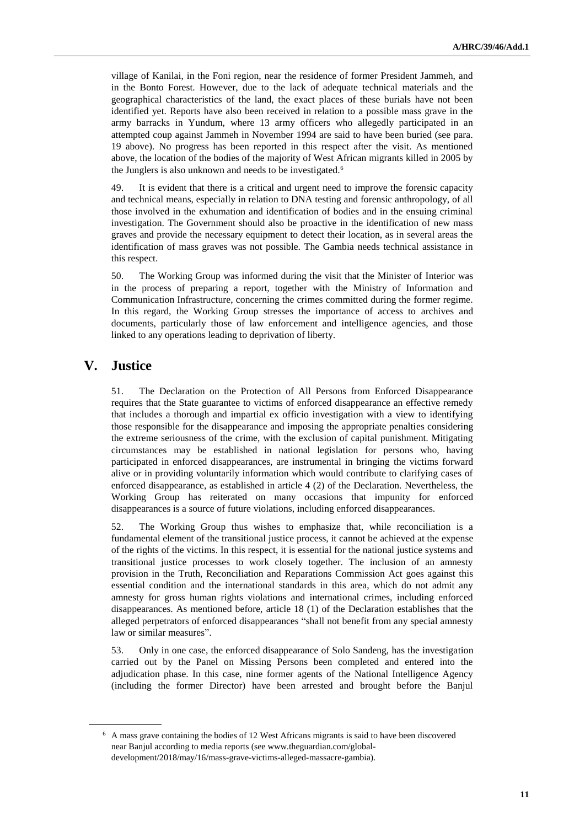village of Kanilai, in the Foni region, near the residence of former President Jammeh, and in the Bonto Forest. However, due to the lack of adequate technical materials and the geographical characteristics of the land, the exact places of these burials have not been identified yet. Reports have also been received in relation to a possible mass grave in the army barracks in Yundum, where 13 army officers who allegedly participated in an attempted coup against Jammeh in November 1994 are said to have been buried (see para. 19 above). No progress has been reported in this respect after the visit. As mentioned above, the location of the bodies of the majority of West African migrants killed in 2005 by the Junglers is also unknown and needs to be investigated.<sup>6</sup>

49. It is evident that there is a critical and urgent need to improve the forensic capacity and technical means, especially in relation to DNA testing and forensic anthropology, of all those involved in the exhumation and identification of bodies and in the ensuing criminal investigation. The Government should also be proactive in the identification of new mass graves and provide the necessary equipment to detect their location, as in several areas the identification of mass graves was not possible. The Gambia needs technical assistance in this respect.

50. The Working Group was informed during the visit that the Minister of Interior was in the process of preparing a report, together with the Ministry of Information and Communication Infrastructure, concerning the crimes committed during the former regime. In this regard, the Working Group stresses the importance of access to archives and documents, particularly those of law enforcement and intelligence agencies, and those linked to any operations leading to deprivation of liberty.

### **V. Justice**

51. The Declaration on the Protection of All Persons from Enforced Disappearance requires that the State guarantee to victims of enforced disappearance an effective remedy that includes a thorough and impartial ex officio investigation with a view to identifying those responsible for the disappearance and imposing the appropriate penalties considering the extreme seriousness of the crime, with the exclusion of capital punishment. Mitigating circumstances may be established in national legislation for persons who, having participated in enforced disappearances, are instrumental in bringing the victims forward alive or in providing voluntarily information which would contribute to clarifying cases of enforced disappearance, as established in article 4 (2) of the Declaration. Nevertheless, the Working Group has reiterated on many occasions that impunity for enforced disappearances is a source of future violations, including enforced disappearances.

52. The Working Group thus wishes to emphasize that, while reconciliation is a fundamental element of the transitional justice process, it cannot be achieved at the expense of the rights of the victims. In this respect, it is essential for the national justice systems and transitional justice processes to work closely together. The inclusion of an amnesty provision in the Truth, Reconciliation and Reparations Commission Act goes against this essential condition and the international standards in this area, which do not admit any amnesty for gross human rights violations and international crimes, including enforced disappearances. As mentioned before, article 18 (1) of the Declaration establishes that the alleged perpetrators of enforced disappearances "shall not benefit from any special amnesty law or similar measures".

53. Only in one case, the enforced disappearance of Solo Sandeng, has the investigation carried out by the Panel on Missing Persons been completed and entered into the adjudication phase. In this case, nine former agents of the National Intelligence Agency (including the former Director) have been arrested and brought before the Banjul

<sup>6</sup> A mass grave containing the bodies of 12 West Africans migrants is said to have been discovered near Banjul according to media reports (see [www.theguardian.com/global](https://www.theguardian.com/global-development/2018/may/16/mass-grave-victims-alleged-massacre-gambia)[development/2018/may/16/mass-grave-victims-alleged-massacre-gambia\)](https://www.theguardian.com/global-development/2018/may/16/mass-grave-victims-alleged-massacre-gambia).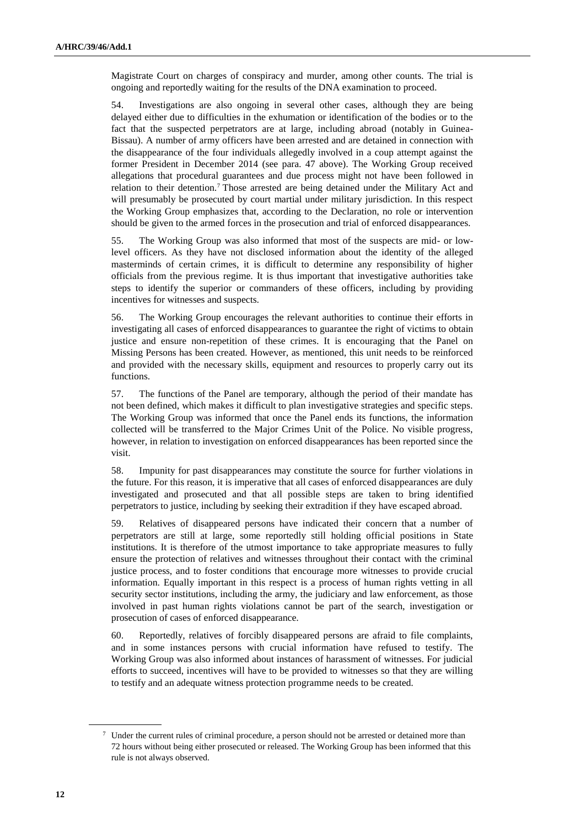Magistrate Court on charges of conspiracy and murder, among other counts. The trial is ongoing and reportedly waiting for the results of the DNA examination to proceed.

54. Investigations are also ongoing in several other cases, although they are being delayed either due to difficulties in the exhumation or identification of the bodies or to the fact that the suspected perpetrators are at large, including abroad (notably in Guinea-Bissau). A number of army officers have been arrested and are detained in connection with the disappearance of the four individuals allegedly involved in a coup attempt against the former President in December 2014 (see para. 47 above). The Working Group received allegations that procedural guarantees and due process might not have been followed in relation to their detention.<sup>7</sup> Those arrested are being detained under the Military Act and will presumably be prosecuted by court martial under military jurisdiction. In this respect the Working Group emphasizes that, according to the Declaration, no role or intervention should be given to the armed forces in the prosecution and trial of enforced disappearances.

55. The Working Group was also informed that most of the suspects are mid- or lowlevel officers. As they have not disclosed information about the identity of the alleged masterminds of certain crimes, it is difficult to determine any responsibility of higher officials from the previous regime. It is thus important that investigative authorities take steps to identify the superior or commanders of these officers, including by providing incentives for witnesses and suspects.

56. The Working Group encourages the relevant authorities to continue their efforts in investigating all cases of enforced disappearances to guarantee the right of victims to obtain justice and ensure non-repetition of these crimes. It is encouraging that the Panel on Missing Persons has been created. However, as mentioned, this unit needs to be reinforced and provided with the necessary skills, equipment and resources to properly carry out its functions.

57. The functions of the Panel are temporary, although the period of their mandate has not been defined, which makes it difficult to plan investigative strategies and specific steps. The Working Group was informed that once the Panel ends its functions, the information collected will be transferred to the Major Crimes Unit of the Police. No visible progress, however, in relation to investigation on enforced disappearances has been reported since the visit.

58. Impunity for past disappearances may constitute the source for further violations in the future. For this reason, it is imperative that all cases of enforced disappearances are duly investigated and prosecuted and that all possible steps are taken to bring identified perpetrators to justice, including by seeking their extradition if they have escaped abroad.

59. Relatives of disappeared persons have indicated their concern that a number of perpetrators are still at large, some reportedly still holding official positions in State institutions. It is therefore of the utmost importance to take appropriate measures to fully ensure the protection of relatives and witnesses throughout their contact with the criminal justice process, and to foster conditions that encourage more witnesses to provide crucial information. Equally important in this respect is a process of human rights vetting in all security sector institutions, including the army, the judiciary and law enforcement, as those involved in past human rights violations cannot be part of the search, investigation or prosecution of cases of enforced disappearance.

60. Reportedly, relatives of forcibly disappeared persons are afraid to file complaints, and in some instances persons with crucial information have refused to testify. The Working Group was also informed about instances of harassment of witnesses. For judicial efforts to succeed, incentives will have to be provided to witnesses so that they are willing to testify and an adequate witness protection programme needs to be created.

<sup>7</sup> Under the current rules of criminal procedure, a person should not be arrested or detained more than 72 hours without being either prosecuted or released. The Working Group has been informed that this rule is not always observed.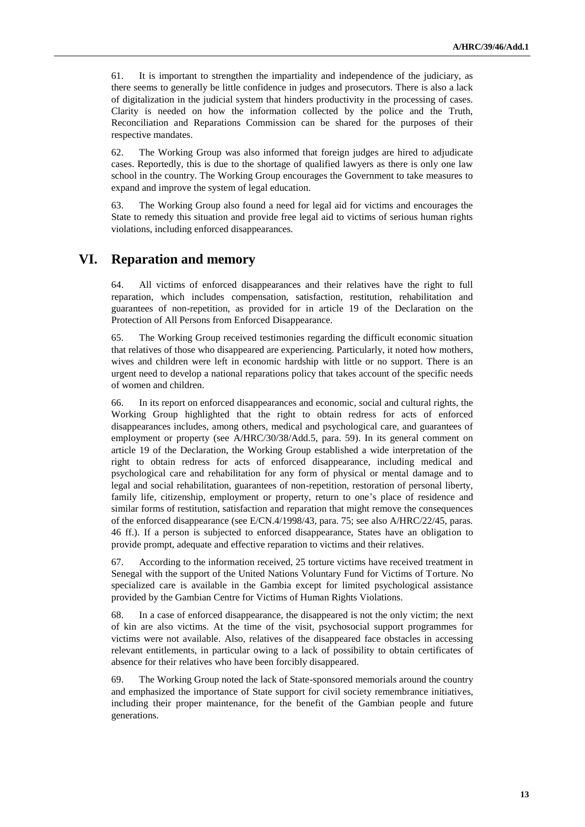61. It is important to strengthen the impartiality and independence of the judiciary, as there seems to generally be little confidence in judges and prosecutors. There is also a lack of digitalization in the judicial system that hinders productivity in the processing of cases. Clarity is needed on how the information collected by the police and the Truth, Reconciliation and Reparations Commission can be shared for the purposes of their respective mandates.

62. The Working Group was also informed that foreign judges are hired to adjudicate cases. Reportedly, this is due to the shortage of qualified lawyers as there is only one law school in the country. The Working Group encourages the Government to take measures to expand and improve the system of legal education.

63. The Working Group also found a need for legal aid for victims and encourages the State to remedy this situation and provide free legal aid to victims of serious human rights violations, including enforced disappearances.

#### **VI. Reparation and memory**

64. All victims of enforced disappearances and their relatives have the right to full reparation, which includes compensation, satisfaction, restitution, rehabilitation and guarantees of non-repetition, as provided for in article 19 of the Declaration on the Protection of All Persons from Enforced Disappearance.

65. The Working Group received testimonies regarding the difficult economic situation that relatives of those who disappeared are experiencing. Particularly, it noted how mothers, wives and children were left in economic hardship with little or no support. There is an urgent need to develop a national reparations policy that takes account of the specific needs of women and children.

66. In its report on enforced disappearances and economic, social and cultural rights, the Working Group highlighted that the right to obtain redress for acts of enforced disappearances includes, among others, medical and psychological care, and guarantees of employment or property (see A/HRC/30/38/Add.5, para. 59). In its general comment on article 19 of the Declaration, the Working Group established a wide interpretation of the right to obtain redress for acts of enforced disappearance, including medical and psychological care and rehabilitation for any form of physical or mental damage and to legal and social rehabilitation, guarantees of non-repetition, restoration of personal liberty, family life, citizenship, employment or property, return to one's place of residence and similar forms of restitution, satisfaction and reparation that might remove the consequences of the enforced disappearance (see E/CN.4/1998/43, para. 75; see also A/HRC/22/45, paras. 46 ff.). If a person is subjected to enforced disappearance, States have an obligation to provide prompt, adequate and effective reparation to victims and their relatives.

67. According to the information received, 25 torture victims have received treatment in Senegal with the support of the United Nations Voluntary Fund for Victims of Torture. No specialized care is available in the Gambia except for limited psychological assistance provided by the Gambian Centre for Victims of Human Rights Violations.

68. In a case of enforced disappearance, the disappeared is not the only victim; the next of kin are also victims. At the time of the visit, psychosocial support programmes for victims were not available. Also, relatives of the disappeared face obstacles in accessing relevant entitlements, in particular owing to a lack of possibility to obtain certificates of absence for their relatives who have been forcibly disappeared.

69. The Working Group noted the lack of State-sponsored memorials around the country and emphasized the importance of State support for civil society remembrance initiatives, including their proper maintenance, for the benefit of the Gambian people and future generations.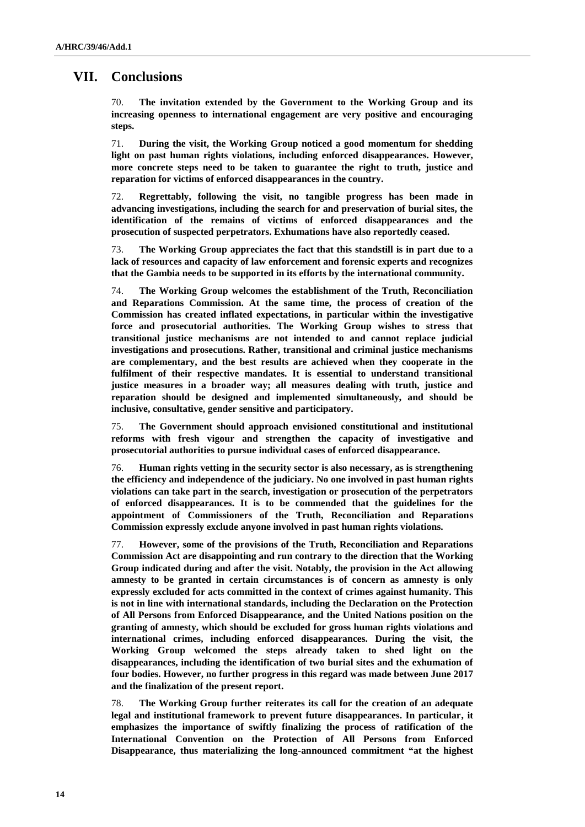# **VII. Conclusions**

70. **The invitation extended by the Government to the Working Group and its increasing openness to international engagement are very positive and encouraging steps.** 

71. **During the visit, the Working Group noticed a good momentum for shedding light on past human rights violations, including enforced disappearances. However, more concrete steps need to be taken to guarantee the right to truth, justice and reparation for victims of enforced disappearances in the country.**

72. **Regrettably, following the visit, no tangible progress has been made in advancing investigations, including the search for and preservation of burial sites, the identification of the remains of victims of enforced disappearances and the prosecution of suspected perpetrators. Exhumations have also reportedly ceased.** 

73. **The Working Group appreciates the fact that this standstill is in part due to a lack of resources and capacity of law enforcement and forensic experts and recognizes that the Gambia needs to be supported in its efforts by the international community.** 

74. **The Working Group welcomes the establishment of the Truth, Reconciliation and Reparations Commission. At the same time, the process of creation of the Commission has created inflated expectations, in particular within the investigative force and prosecutorial authorities. The Working Group wishes to stress that transitional justice mechanisms are not intended to and cannot replace judicial investigations and prosecutions. Rather, transitional and criminal justice mechanisms are complementary, and the best results are achieved when they cooperate in the fulfilment of their respective mandates. It is essential to understand transitional justice measures in a broader way; all measures dealing with truth, justice and reparation should be designed and implemented simultaneously, and should be inclusive, consultative, gender sensitive and participatory.** 

75. **The Government should approach envisioned constitutional and institutional reforms with fresh vigour and strengthen the capacity of investigative and prosecutorial authorities to pursue individual cases of enforced disappearance.** 

76. **Human rights vetting in the security sector is also necessary, as is strengthening the efficiency and independence of the judiciary. No one involved in past human rights violations can take part in the search, investigation or prosecution of the perpetrators of enforced disappearances. It is to be commended that the guidelines for the appointment of Commissioners of the Truth, Reconciliation and Reparations Commission expressly exclude anyone involved in past human rights violations.**

77. **However, some of the provisions of the Truth, Reconciliation and Reparations Commission Act are disappointing and run contrary to the direction that the Working Group indicated during and after the visit. Notably, the provision in the Act allowing amnesty to be granted in certain circumstances is of concern as amnesty is only expressly excluded for acts committed in the context of crimes against humanity. This is not in line with international standards, including the Declaration on the Protection of All Persons from Enforced Disappearance, and the United Nations position on the granting of amnesty, which should be excluded for gross human rights violations and international crimes, including enforced disappearances. During the visit, the Working Group welcomed the steps already taken to shed light on the disappearances, including the identification of two burial sites and the exhumation of four bodies. However, no further progress in this regard was made between June 2017 and the finalization of the present report.** 

78. **The Working Group further reiterates its call for the creation of an adequate legal and institutional framework to prevent future disappearances. In particular, it emphasizes the importance of swiftly finalizing the process of ratification of the International Convention on the Protection of All Persons from Enforced Disappearance, thus materializing the long-announced commitment "at the highest**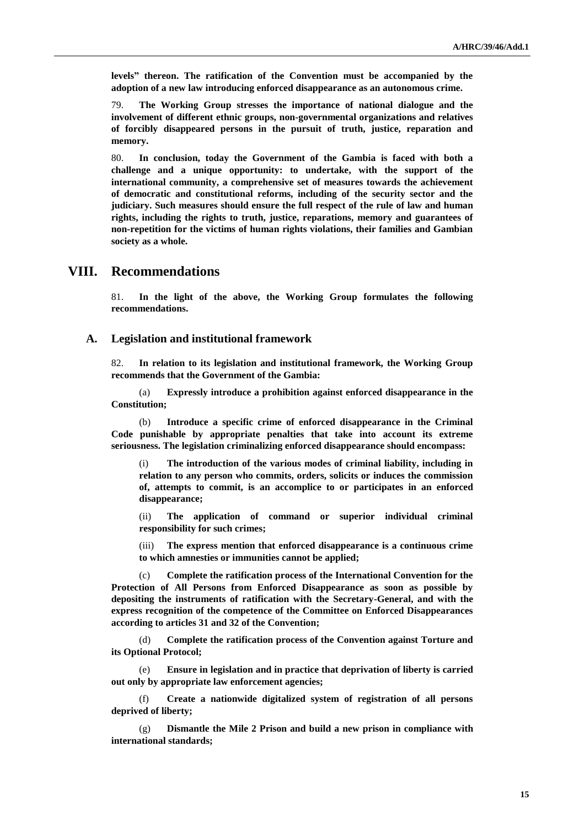**levels" thereon. The ratification of the Convention must be accompanied by the adoption of a new law introducing enforced disappearance as an autonomous crime.** 

79. **The Working Group stresses the importance of national dialogue and the involvement of different ethnic groups, non-governmental organizations and relatives of forcibly disappeared persons in the pursuit of truth, justice, reparation and memory.** 

80. **In conclusion, today the Government of the Gambia is faced with both a challenge and a unique opportunity: to undertake, with the support of the international community, a comprehensive set of measures towards the achievement of democratic and constitutional reforms, including of the security sector and the judiciary. Such measures should ensure the full respect of the rule of law and human rights, including the rights to truth, justice, reparations, memory and guarantees of non-repetition for the victims of human rights violations, their families and Gambian society as a whole.** 

#### **VIII. Recommendations**

81. **In the light of the above, the Working Group formulates the following recommendations.**

#### **A. Legislation and institutional framework**

82. **In relation to its legislation and institutional framework, the Working Group recommends that the Government of the Gambia:**

(a) **Expressly introduce a prohibition against enforced disappearance in the Constitution;**

(b) **Introduce a specific crime of enforced disappearance in the Criminal Code punishable by appropriate penalties that take into account its extreme seriousness. The legislation criminalizing enforced disappearance should encompass:**

(i) **The introduction of the various modes of criminal liability, including in relation to any person who commits, orders, solicits or induces the commission of, attempts to commit, is an accomplice to or participates in an enforced disappearance;**

(ii) **The application of command or superior individual criminal responsibility for such crimes;**

(iii) **The express mention that enforced disappearance is a continuous crime to which amnesties or immunities cannot be applied;** 

(c) **Complete the ratification process of the International Convention for the Protection of All Persons from Enforced Disappearance as soon as possible by depositing the instruments of ratification with the Secretary-General, and with the express recognition of the competence of the Committee on Enforced Disappearances according to articles 31 and 32 of the Convention;** 

(d) **Complete the ratification process of the Convention against Torture and its Optional Protocol;**

(e) **Ensure in legislation and in practice that deprivation of liberty is carried out only by appropriate law enforcement agencies;**

(f) **Create a nationwide digitalized system of registration of all persons deprived of liberty;**

(g) **Dismantle the Mile 2 Prison and build a new prison in compliance with international standards;**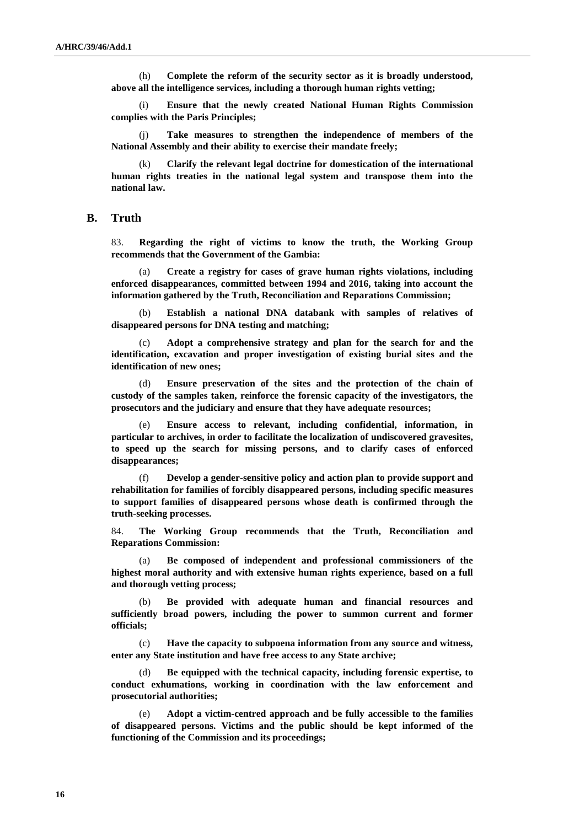(h) **Complete the reform of the security sector as it is broadly understood, above all the intelligence services, including a thorough human rights vetting;** 

(i) **Ensure that the newly created National Human Rights Commission complies with the Paris Principles;**

(j) **Take measures to strengthen the independence of members of the National Assembly and their ability to exercise their mandate freely;**

(k) **Clarify the relevant legal doctrine for domestication of the international human rights treaties in the national legal system and transpose them into the national law.**

#### **B. Truth**

83. **Regarding the right of victims to know the truth, the Working Group recommends that the Government of the Gambia:**

(a) **Create a registry for cases of grave human rights violations, including enforced disappearances, committed between 1994 and 2016, taking into account the information gathered by the Truth, Reconciliation and Reparations Commission;** 

(b) **Establish a national DNA databank with samples of relatives of disappeared persons for DNA testing and matching;**

(c) **Adopt a comprehensive strategy and plan for the search for and the identification, excavation and proper investigation of existing burial sites and the identification of new ones;** 

(d) **Ensure preservation of the sites and the protection of the chain of custody of the samples taken, reinforce the forensic capacity of the investigators, the prosecutors and the judiciary and ensure that they have adequate resources;** 

(e) **Ensure access to relevant, including confidential, information, in particular to archives, in order to facilitate the localization of undiscovered gravesites, to speed up the search for missing persons, and to clarify cases of enforced disappearances;**

(f) **Develop a gender-sensitive policy and action plan to provide support and rehabilitation for families of forcibly disappeared persons, including specific measures to support families of disappeared persons whose death is confirmed through the truth-seeking processes.**

84. **The Working Group recommends that the Truth, Reconciliation and Reparations Commission:**

(a) **Be composed of independent and professional commissioners of the highest moral authority and with extensive human rights experience, based on a full and thorough vetting process;**

(b) **Be provided with adequate human and financial resources and sufficiently broad powers, including the power to summon current and former officials;**

(c) **Have the capacity to subpoena information from any source and witness, enter any State institution and have free access to any State archive;**

(d) **Be equipped with the technical capacity, including forensic expertise, to conduct exhumations, working in coordination with the law enforcement and prosecutorial authorities;**

(e) **Adopt a victim-centred approach and be fully accessible to the families of disappeared persons. Victims and the public should be kept informed of the functioning of the Commission and its proceedings;**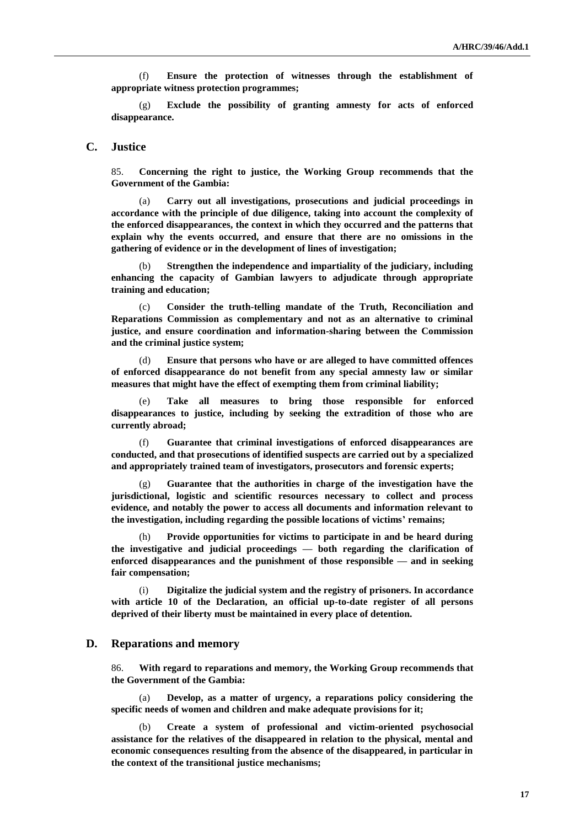(f) **Ensure the protection of witnesses through the establishment of appropriate witness protection programmes;**

(g) **Exclude the possibility of granting amnesty for acts of enforced disappearance.**

#### **C. Justice**

85. **Concerning the right to justice, the Working Group recommends that the Government of the Gambia:**

(a) **Carry out all investigations, prosecutions and judicial proceedings in accordance with the principle of due diligence, taking into account the complexity of the enforced disappearances, the context in which they occurred and the patterns that explain why the events occurred, and ensure that there are no omissions in the gathering of evidence or in the development of lines of investigation;**

(b) **Strengthen the independence and impartiality of the judiciary, including enhancing the capacity of Gambian lawyers to adjudicate through appropriate training and education;**

(c) **Consider the truth-telling mandate of the Truth, Reconciliation and Reparations Commission as complementary and not as an alternative to criminal justice, and ensure coordination and information-sharing between the Commission and the criminal justice system;**

(d) **Ensure that persons who have or are alleged to have committed offences of enforced disappearance do not benefit from any special amnesty law or similar measures that might have the effect of exempting them from criminal liability;**

(e) **Take all measures to bring those responsible for enforced disappearances to justice, including by seeking the extradition of those who are currently abroad;**

(f) **Guarantee that criminal investigations of enforced disappearances are conducted, and that prosecutions of identified suspects are carried out by a specialized and appropriately trained team of investigators, prosecutors and forensic experts;**

Guarantee that the authorities in charge of the investigation have the **jurisdictional, logistic and scientific resources necessary to collect and process evidence, and notably the power to access all documents and information relevant to the investigation, including regarding the possible locations of victims' remains;**

Provide opportunities for victims to participate in and be heard during **the investigative and judicial proceedings — both regarding the clarification of enforced disappearances and the punishment of those responsible — and in seeking fair compensation;**

(i) **Digitalize the judicial system and the registry of prisoners. In accordance with article 10 of the Declaration, an official up-to-date register of all persons deprived of their liberty must be maintained in every place of detention.**

#### **D. Reparations and memory**

86. **With regard to reparations and memory, the Working Group recommends that the Government of the Gambia:**

(a) **Develop, as a matter of urgency, a reparations policy considering the specific needs of women and children and make adequate provisions for it;**

(b) **Create a system of professional and victim-oriented psychosocial assistance for the relatives of the disappeared in relation to the physical, mental and economic consequences resulting from the absence of the disappeared, in particular in the context of the transitional justice mechanisms;**